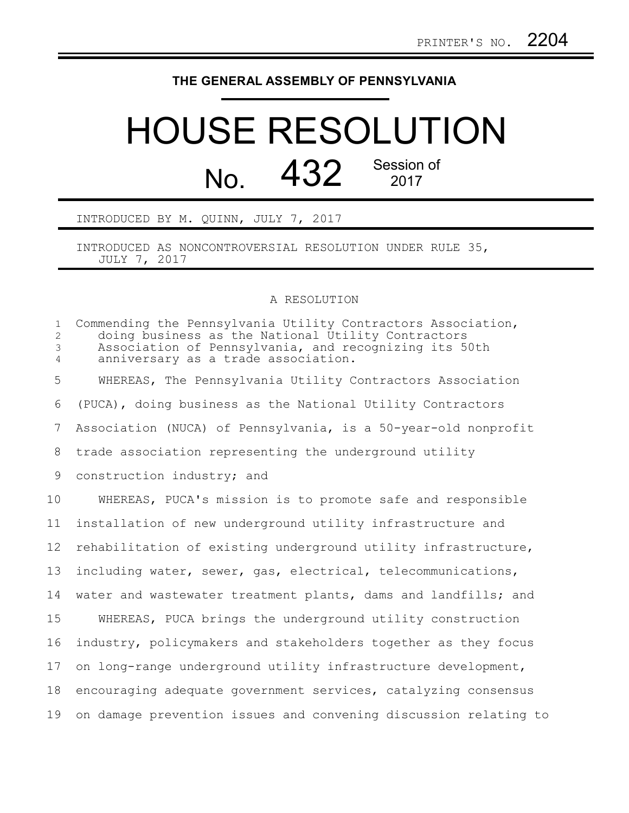## **THE GENERAL ASSEMBLY OF PENNSYLVANIA**

## HOUSE RESOLUTION No. 432 Session of

INTRODUCED BY M. QUINN, JULY 7, 2017

INTRODUCED AS NONCONTROVERSIAL RESOLUTION UNDER RULE 35, JULY 7, 2017

## A RESOLUTION

| $\mathbf{1}$<br>$\overline{2}$<br>$\mathcal{S}$<br>$\overline{4}$ | Commending the Pennsylvania Utility Contractors Association,<br>doing business as the National Utility Contractors<br>Association of Pennsylvania, and recognizing its 50th<br>anniversary as a trade association. |
|-------------------------------------------------------------------|--------------------------------------------------------------------------------------------------------------------------------------------------------------------------------------------------------------------|
| 5                                                                 | WHEREAS, The Pennsylvania Utility Contractors Association                                                                                                                                                          |
| 6                                                                 | (PUCA), doing business as the National Utility Contractors                                                                                                                                                         |
| $\overline{7}$                                                    | Association (NUCA) of Pennsylvania, is a 50-year-old nonprofit                                                                                                                                                     |
| 8                                                                 | trade association representing the underground utility                                                                                                                                                             |
| 9                                                                 | construction industry; and                                                                                                                                                                                         |
| 10                                                                | WHEREAS, PUCA's mission is to promote safe and responsible                                                                                                                                                         |
| 11                                                                | installation of new underground utility infrastructure and                                                                                                                                                         |
| 12                                                                | rehabilitation of existing underground utility infrastructure,                                                                                                                                                     |
| 13                                                                | including water, sewer, gas, electrical, telecommunications,                                                                                                                                                       |
| 14                                                                | water and wastewater treatment plants, dams and landfills; and                                                                                                                                                     |
| 15                                                                | WHEREAS, PUCA brings the underground utility construction                                                                                                                                                          |
| 16                                                                | industry, policymakers and stakeholders together as they focus                                                                                                                                                     |
| 17                                                                | on long-range underground utility infrastructure development,                                                                                                                                                      |
| 18                                                                | encouraging adequate government services, catalyzing consensus                                                                                                                                                     |
| 19                                                                | on damage prevention issues and convening discussion relating to                                                                                                                                                   |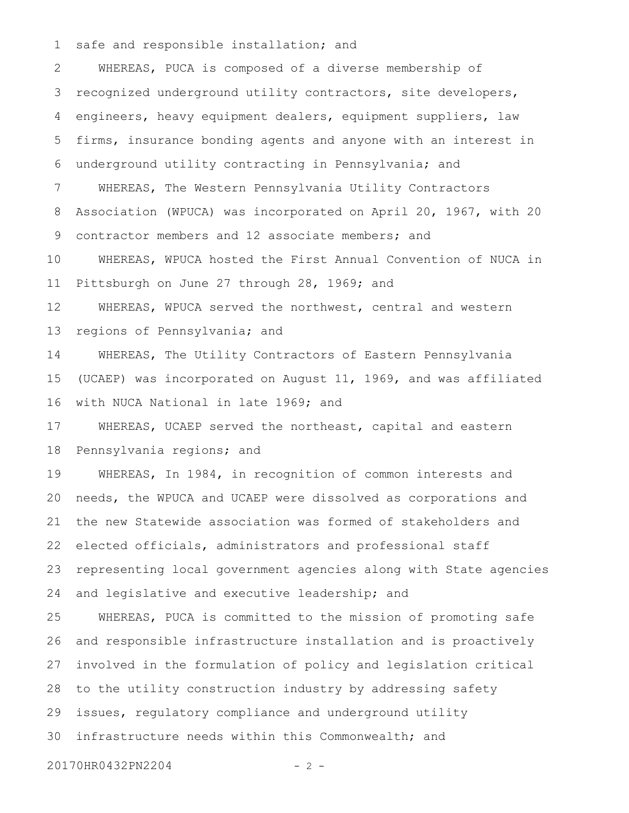safe and responsible installation; and 1

WHEREAS, PUCA is composed of a diverse membership of recognized underground utility contractors, site developers, engineers, heavy equipment dealers, equipment suppliers, law firms, insurance bonding agents and anyone with an interest in underground utility contracting in Pennsylvania; and WHEREAS, The Western Pennsylvania Utility Contractors Association (WPUCA) was incorporated on April 20, 1967, with 20 contractor members and 12 associate members; and WHEREAS, WPUCA hosted the First Annual Convention of NUCA in Pittsburgh on June 27 through 28, 1969; and WHEREAS, WPUCA served the northwest, central and western regions of Pennsylvania; and WHEREAS, The Utility Contractors of Eastern Pennsylvania (UCAEP) was incorporated on August 11, 1969, and was affiliated with NUCA National in late 1969; and WHEREAS, UCAEP served the northeast, capital and eastern Pennsylvania regions; and WHEREAS, In 1984, in recognition of common interests and needs, the WPUCA and UCAEP were dissolved as corporations and the new Statewide association was formed of stakeholders and elected officials, administrators and professional staff representing local government agencies along with State agencies and legislative and executive leadership; and WHEREAS, PUCA is committed to the mission of promoting safe and responsible infrastructure installation and is proactively involved in the formulation of policy and legislation critical to the utility construction industry by addressing safety issues, regulatory compliance and underground utility infrastructure needs within this Commonwealth; and 20170HR0432PN2204 - 2 -2 3 4 5 6 7 8 9 10 11 12 13 14 15 16 17 18 19 20 21 22 23 24 25 26 27 28 29 30